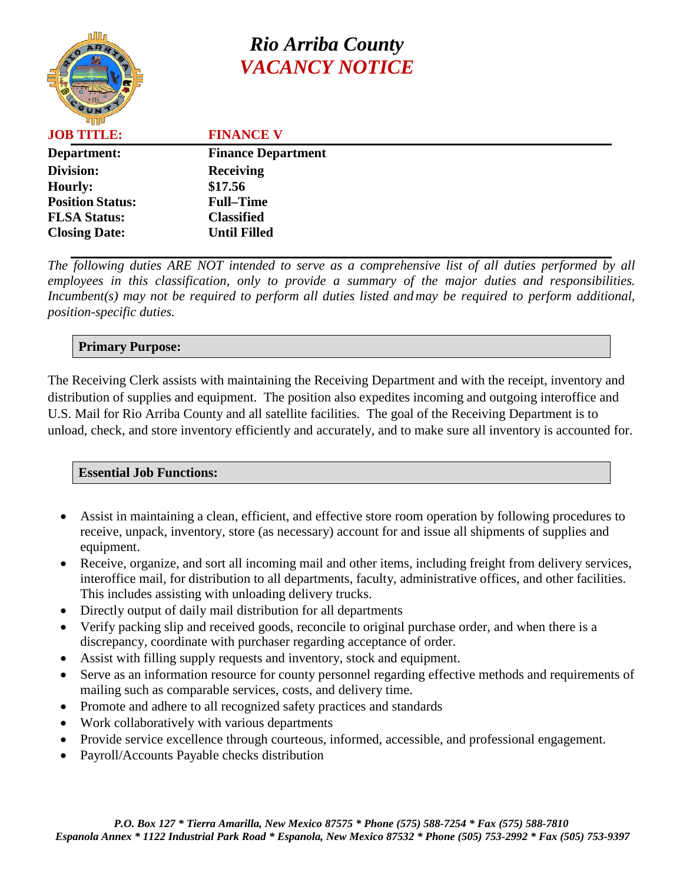# *Rio Arriba County VACANCY NOTICE*

| பாம                     |                           |
|-------------------------|---------------------------|
| <b>JOB TITLE:</b>       | <b>FINANCE V</b>          |
| Department:             | <b>Finance Department</b> |
| Division:               | <b>Receiving</b>          |
| <b>Hourly:</b>          | \$17.56                   |
| <b>Position Status:</b> | <b>Full–Time</b>          |
| <b>FLSA Status:</b>     | <b>Classified</b>         |
| <b>Closing Date:</b>    | <b>Until Filled</b>       |
|                         |                           |

*The following duties ARE NOT intended to serve as a comprehensive list of all duties performed by all employees in this classification, only to provide a summary of the major duties and responsibilities. Incumbent(s) may not be required to perform all duties listed and may be required to perform additional, position-specific duties.*

### **Primary Purpose:**

The Receiving Clerk assists with maintaining the Receiving Department and with the receipt, inventory and distribution of supplies and equipment. The position also expedites incoming and outgoing interoffice and U.S. Mail for Rio Arriba County and all satellite facilities. The goal of the Receiving Department is to unload, check, and store inventory efficiently and accurately, and to make sure all inventory is accounted for.

### **Essential Job Functions:**

- Assist in maintaining a clean, efficient, and effective store room operation by following procedures to receive, unpack, inventory, store (as necessary) account for and issue all shipments of supplies and equipment.
- Receive, organize, and sort all incoming mail and other items, including freight from delivery services, interoffice mail, for distribution to all departments, faculty, administrative offices, and other facilities. This includes assisting with unloading delivery trucks.
- Directly output of daily mail distribution for all departments
- Verify packing slip and received goods, reconcile to original purchase order, and when there is a discrepancy, coordinate with purchaser regarding acceptance of order.
- Assist with filling supply requests and inventory, stock and equipment.
- Serve as an information resource for county personnel regarding effective methods and requirements of mailing such as comparable services, costs, and delivery time.
- Promote and adhere to all recognized safety practices and standards
- Work collaboratively with various departments
- Provide service excellence through courteous, informed, accessible, and professional engagement.
- Payroll/Accounts Payable checks distribution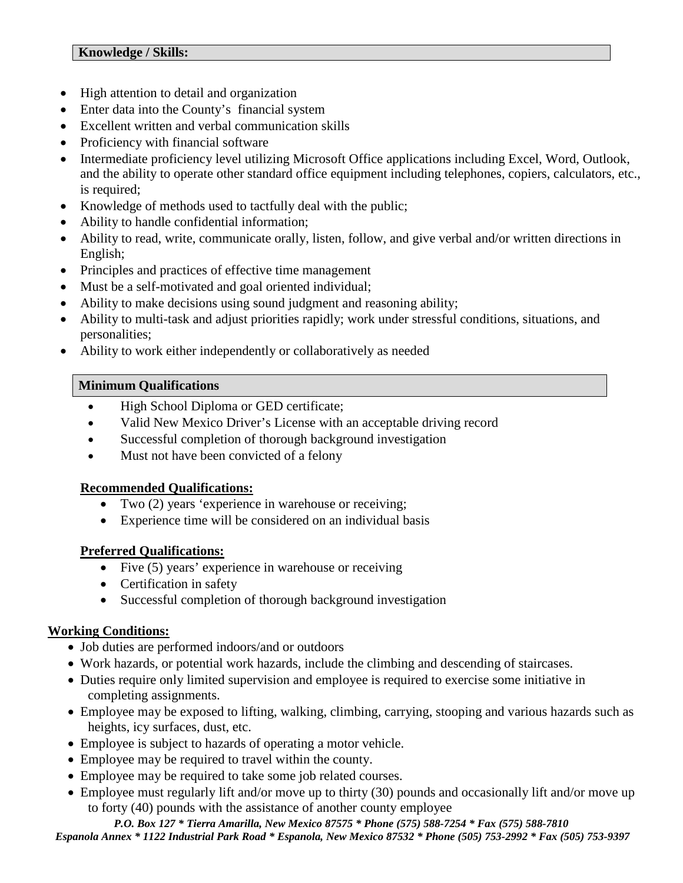- High attention to detail and organization
- Enter data into the County's financial system
- Excellent written and verbal communication skills
- Proficiency with financial software
- Intermediate proficiency level utilizing Microsoft Office applications including Excel, Word, Outlook, and the ability to operate other standard office equipment including telephones, copiers, calculators, etc., is required;
- Knowledge of methods used to tactfully deal with the public;
- Ability to handle confidential information;
- Ability to read, write, communicate orally, listen, follow, and give verbal and/or written directions in English;
- Principles and practices of effective time management
- Must be a self-motivated and goal oriented individual;
- Ability to make decisions using sound judgment and reasoning ability;
- Ability to multi-task and adjust priorities rapidly; work under stressful conditions, situations, and personalities;
- Ability to work either independently or collaboratively as needed

### **Minimum Qualifications**

- High School Diploma or GED certificate;
- Valid New Mexico Driver's License with an acceptable driving record
- Successful completion of thorough background investigation
- Must not have been convicted of a felony

### **Recommended Qualifications:**

- Two (2) years 'experience in warehouse or receiving;
- Experience time will be considered on an individual basis

# **Preferred Qualifications:**

- Five (5) years' experience in warehouse or receiving
- Certification in safety
- Successful completion of thorough background investigation

# **Working Conditions:**

- Job duties are performed indoors/and or outdoors
- Work hazards, or potential work hazards, include the climbing and descending of staircases.
- Duties require only limited supervision and employee is required to exercise some initiative in completing assignments.
- Employee may be exposed to lifting, walking, climbing, carrying, stooping and various hazards such as heights, icy surfaces, dust, etc.
- Employee is subject to hazards of operating a motor vehicle.
- Employee may be required to travel within the county.
- Employee may be required to take some job related courses.
- Employee must regularly lift and/or move up to thirty (30) pounds and occasionally lift and/or move up to forty (40) pounds with the assistance of another county employee

*P.O. Box 127 \* Tierra Amarilla, New Mexico 87575 \* Phone (575) 588-7254 \* Fax (575) 588-7810 Espanola Annex \* 1122 Industrial Park Road \* Espanola, New Mexico 87532 \* Phone (505) 753-2992 \* Fax (505) 753-9397*